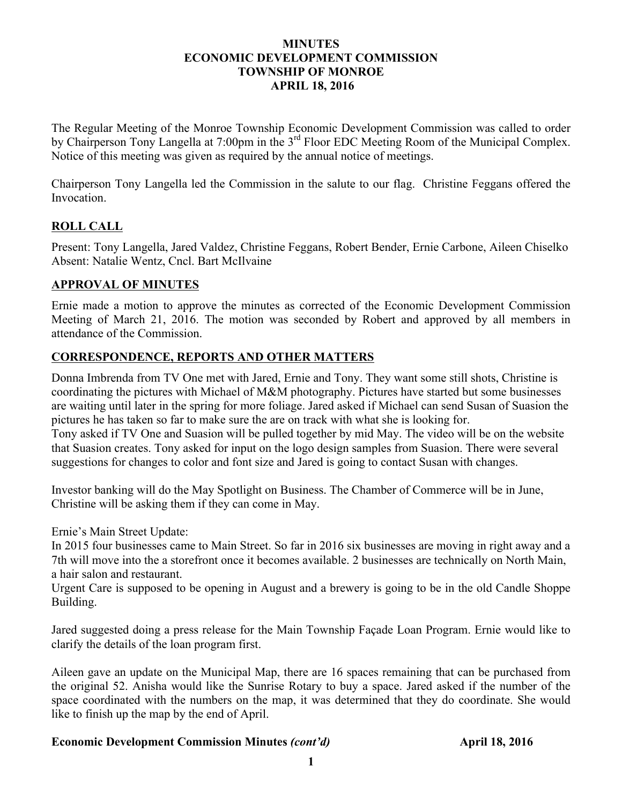#### **MINUTES ECONOMIC DEVELOPMENT COMMISSION TOWNSHIP OF MONROE APRIL 18, 2016**

The Regular Meeting of the Monroe Township Economic Development Commission was called to order by Chairperson Tony Langella at 7:00pm in the 3<sup>rd</sup> Floor EDC Meeting Room of the Municipal Complex. Notice of this meeting was given as required by the annual notice of meetings.

Chairperson Tony Langella led the Commission in the salute to our flag. Christine Feggans offered the Invocation.

## **ROLL CALL**

Present: Tony Langella, Jared Valdez, Christine Feggans, Robert Bender, Ernie Carbone, Aileen Chiselko Absent: Natalie Wentz, Cncl. Bart McIlvaine

### **APPROVAL OF MINUTES**

Ernie made a motion to approve the minutes as corrected of the Economic Development Commission Meeting of March 21, 2016. The motion was seconded by Robert and approved by all members in attendance of the Commission.

## **CORRESPONDENCE, REPORTS AND OTHER MATTERS**

Donna Imbrenda from TV One met with Jared, Ernie and Tony. They want some still shots, Christine is coordinating the pictures with Michael of M&M photography. Pictures have started but some businesses are waiting until later in the spring for more foliage. Jared asked if Michael can send Susan of Suasion the pictures he has taken so far to make sure the are on track with what she is looking for. Tony asked if TV One and Suasion will be pulled together by mid May. The video will be on the website that Suasion creates. Tony asked for input on the logo design samples from Suasion. There were several suggestions for changes to color and font size and Jared is going to contact Susan with changes.

Investor banking will do the May Spotlight on Business. The Chamber of Commerce will be in June, Christine will be asking them if they can come in May.

Ernie's Main Street Update:

In 2015 four businesses came to Main Street. So far in 2016 six businesses are moving in right away and a 7th will move into the a storefront once it becomes available. 2 businesses are technically on North Main, a hair salon and restaurant.

Urgent Care is supposed to be opening in August and a brewery is going to be in the old Candle Shoppe Building.

Jared suggested doing a press release for the Main Township Façade Loan Program. Ernie would like to clarify the details of the loan program first.

Aileen gave an update on the Municipal Map, there are 16 spaces remaining that can be purchased from the original 52. Anisha would like the Sunrise Rotary to buy a space. Jared asked if the number of the space coordinated with the numbers on the map, it was determined that they do coordinate. She would like to finish up the map by the end of April.

### **Economic Development Commission Minutes** *(cont'd)* **April 18, 2016**